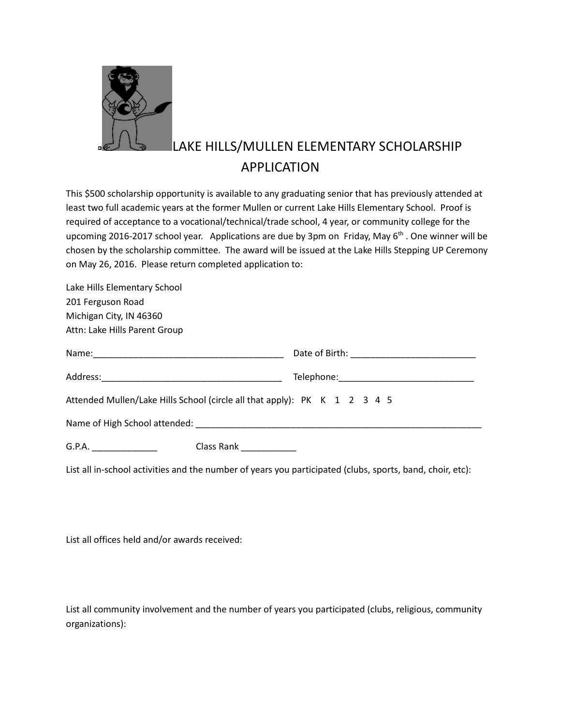

## LAKE HILLS/MULLEN ELEMENTARY SCHOLARSHIP APPLICATION

This \$500 scholarship opportunity is available to any graduating senior that has previously attended at least two full academic years at the former Mullen or current Lake Hills Elementary School. Proof is required of acceptance to a vocational/technical/trade school, 4 year, or community college for the upcoming 2016-2017 school year. Applications are due by 3pm on Friday, May 6<sup>th</sup> . One winner will be chosen by the scholarship committee. The award will be issued at the Lake Hills Stepping UP Ceremony on May 26, 2016. Please return completed application to:

| Lake Hills Elementary School                                              |  |
|---------------------------------------------------------------------------|--|
| 201 Ferguson Road                                                         |  |
| Michigan City, IN 46360                                                   |  |
| Attn: Lake Hills Parent Group                                             |  |
|                                                                           |  |
|                                                                           |  |
| Attended Mullen/Lake Hills School (circle all that apply): PK K 1 2 3 4 5 |  |
|                                                                           |  |
| G.P.A. _________________<br>Class Rank                                    |  |

List all in-school activities and the number of years you participated (clubs, sports, band, choir, etc):

List all offices held and/or awards received:

List all community involvement and the number of years you participated (clubs, religious, community organizations):